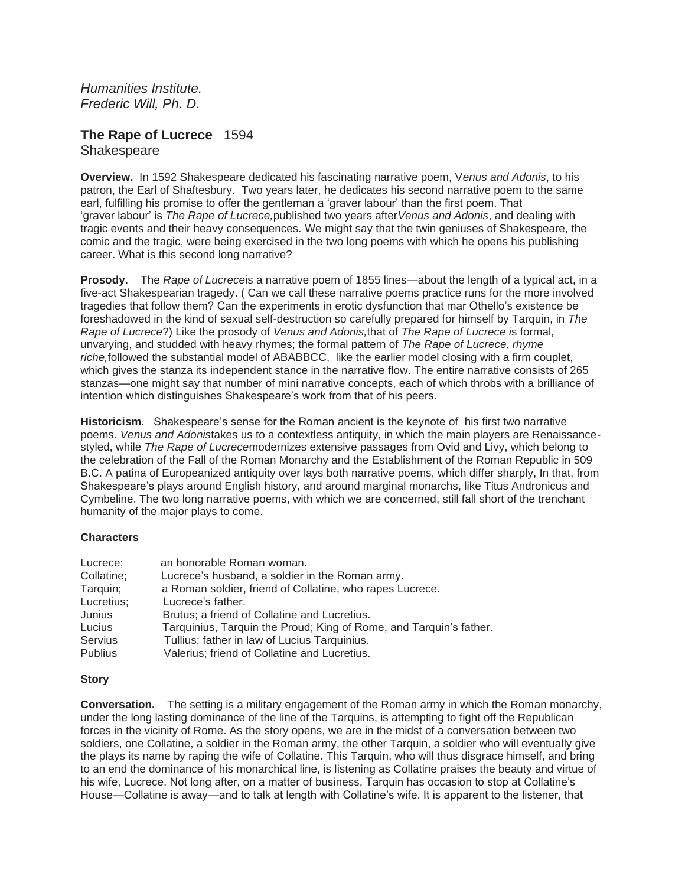*Humanities Institute. Frederic Will, Ph. D.*

# **The Rape of Lucrece** 1594 **Shakespeare**

**Overview.** In 1592 Shakespeare dedicated his fascinating narrative poem, V*enus and Adonis*, to his patron, the Earl of Shaftesbury. Two years later, he dedicates his second narrative poem to the same earl, fulfilling his promise to offer the gentleman a 'graver labour' than the first poem. That 'graver labour' is *The Rape of Lucrece,*published two years after*Venus and Adonis*, and dealing with tragic events and their heavy consequences. We might say that the twin geniuses of Shakespeare, the comic and the tragic, were being exercised in the two long poems with which he opens his publishing career. What is this second long narrative?

**Prosody**. The *Rape of Lucrece*is a narrative poem of 1855 lines—about the length of a typical act, in a five-act Shakespearian tragedy. ( Can we call these narrative poems practice runs for the more involved tragedies that follow them? Can the experiments in erotic dysfunction that mar Othello's existence be foreshadowed in the kind of sexual self-destruction so carefully prepared for himself by Tarquin, in *The Rape of Lucrece*?) Like the prosody of *Venus and Adonis,*that of *The Rape of Lucrece i*s formal, unvarying, and studded with heavy rhymes; the formal pattern of *The Rape of Lucrece, rhyme riche,*followed the substantial model of ABABBCC, like the earlier model closing with a firm couplet, which gives the stanza its independent stance in the narrative flow. The entire narrative consists of 265 stanzas—one might say that number of mini narrative concepts, each of which throbs with a brilliance of intention which distinguishes Shakespeare's work from that of his peers.

**Historicism**. Shakespeare's sense for the Roman ancient is the keynote of his first two narrative poems. *Venus and Adonis*takes us to a contextless antiquity, in which the main players are Renaissancestyled, while *The Rape of Lucrece*modernizes extensive passages from Ovid and Livy, which belong to the celebration of the Fall of the Roman Monarchy and the Establishment of the Roman Republic in 509 B.C. A patina of Europeanized antiquity over lays both narrative poems, which differ sharply, In that, from Shakespeare's plays around English history, and around marginal monarchs, like Titus Andronicus and Cymbeline. The two long narrative poems, with which we are concerned, still fall short of the trenchant humanity of the major plays to come.

### **Characters**

| Lucrece;       | an honorable Roman woman.                                          |
|----------------|--------------------------------------------------------------------|
| Collatine;     | Lucrece's husband, a soldier in the Roman army.                    |
| Tarquin;       | a Roman soldier, friend of Collatine, who rapes Lucrece.           |
| Lucretius;     | Lucrece's father.                                                  |
| Junius         | Brutus; a friend of Collatine and Lucretius.                       |
| Lucius         | Tarquinius, Tarquin the Proud; King of Rome, and Tarquin's father. |
| <b>Servius</b> | Tullius; father in law of Lucius Tarquinius.                       |
| <b>Publius</b> | Valerius; friend of Collatine and Lucretius.                       |

#### **Story**

**Conversation.** The setting is a military engagement of the Roman army in which the Roman monarchy, under the long lasting dominance of the line of the Tarquins, is attempting to fight off the Republican forces in the vicinity of Rome. As the story opens, we are in the midst of a conversation between two soldiers, one Collatine, a soldier in the Roman army, the other Tarquin, a soldier who will eventually give the plays its name by raping the wife of Collatine. This Tarquin, who will thus disgrace himself, and bring to an end the dominance of his monarchical line, is listening as Collatine praises the beauty and virtue of his wife, Lucrece. Not long after, on a matter of business, Tarquin has occasion to stop at Collatine's House—Collatine is away—and to talk at length with Collatine's wife. It is apparent to the listener, that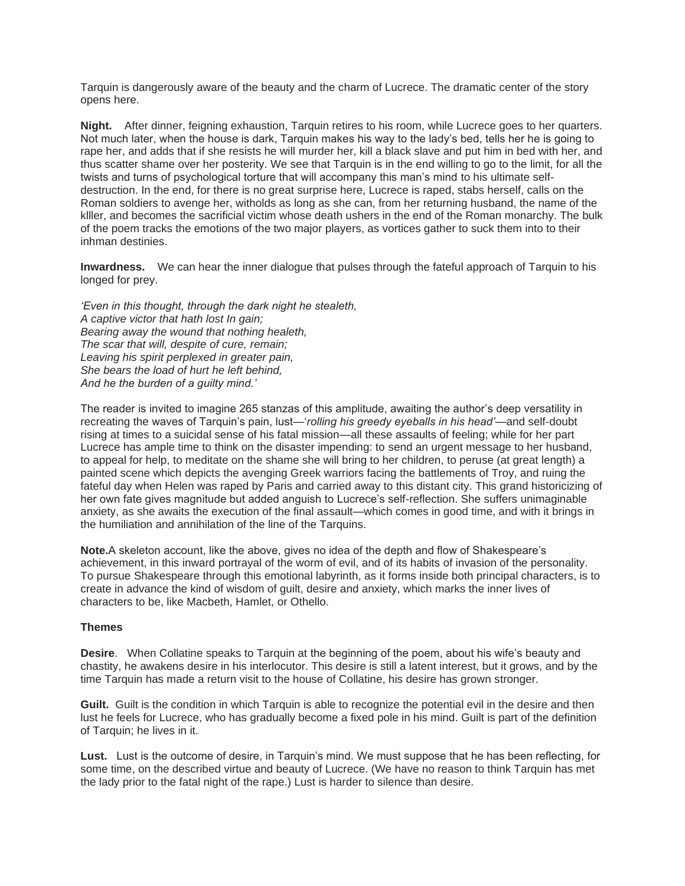Tarquin is dangerously aware of the beauty and the charm of Lucrece. The dramatic center of the story opens here.

**Night.** After dinner, feigning exhaustion, Tarquin retires to his room, while Lucrece goes to her quarters. Not much later, when the house is dark, Tarquin makes his way to the lady's bed, tells her he is going to rape her, and adds that if she resists he will murder her, kill a black slave and put him in bed with her, and thus scatter shame over her posterity. We see that Tarquin is in the end willing to go to the limit, for all the twists and turns of psychological torture that will accompany this man's mind to his ultimate selfdestruction. In the end, for there is no great surprise here, Lucrece is raped, stabs herself, calls on the Roman soldiers to avenge her, witholds as long as she can, from her returning husband, the name of the klller, and becomes the sacrificial victim whose death ushers in the end of the Roman monarchy. The bulk of the poem tracks the emotions of the two major players, as vortices gather to suck them into to their inhman destinies.

**Inwardness.** We can hear the inner dialogue that pulses through the fateful approach of Tarquin to his longed for prey.

*'Even in this thought, through the dark night he stealeth, A captive victor that hath lost In gain; Bearing away the wound that nothing healeth, The scar that will, despite of cure, remain; Leaving his spirit perplexed in greater pain, She bears the load of hurt he left behind, And he the burden of a guilty mind.'*

The reader is invited to imagine 265 stanzas of this amplitude, awaiting the author's deep versatility in recreating the waves of Tarquin's pain, lust—'*rolling his greedy eyeballs in his head'*—and self-doubt rising at times to a suicidal sense of his fatal mission—all these assaults of feeling; while for her part Lucrece has ample time to think on the disaster impending: to send an urgent message to her husband, to appeal for help, to meditate on the shame she will bring to her children, to peruse (at great length) a painted scene which depicts the avenging Greek warriors facing the battlements of Troy, and ruing the fateful day when Helen was raped by Paris and carried away to this distant city. This grand historicizing of her own fate gives magnitude but added anguish to Lucrece's self-reflection. She suffers unimaginable anxiety, as she awaits the execution of the final assault—which comes in good time, and with it brings in the humiliation and annihilation of the line of the Tarquins.

**Note.**A skeleton account, like the above, gives no idea of the depth and flow of Shakespeare's achievement, in this inward portrayal of the worm of evil, and of its habits of invasion of the personality. To pursue Shakespeare through this emotional labyrinth, as it forms inside both principal characters, is to create in advance the kind of wisdom of guilt, desire and anxiety, which marks the inner lives of characters to be, like Macbeth, Hamlet, or Othello.

### **Themes**

**Desire**. When Collatine speaks to Tarquin at the beginning of the poem, about his wife's beauty and chastity, he awakens desire in his interlocutor. This desire is still a latent interest, but it grows, and by the time Tarquin has made a return visit to the house of Collatine, his desire has grown stronger.

**Guilt.** Guilt is the condition in which Tarquin is able to recognize the potential evil in the desire and then lust he feels for Lucrece, who has gradually become a fixed pole in his mind. Guilt is part of the definition of Tarquin; he lives in it.

**Lust.** Lust is the outcome of desire, in Tarquin's mind. We must suppose that he has been reflecting, for some time, on the described virtue and beauty of Lucrece. (We have no reason to think Tarquin has met the lady prior to the fatal night of the rape.) Lust is harder to silence than desire.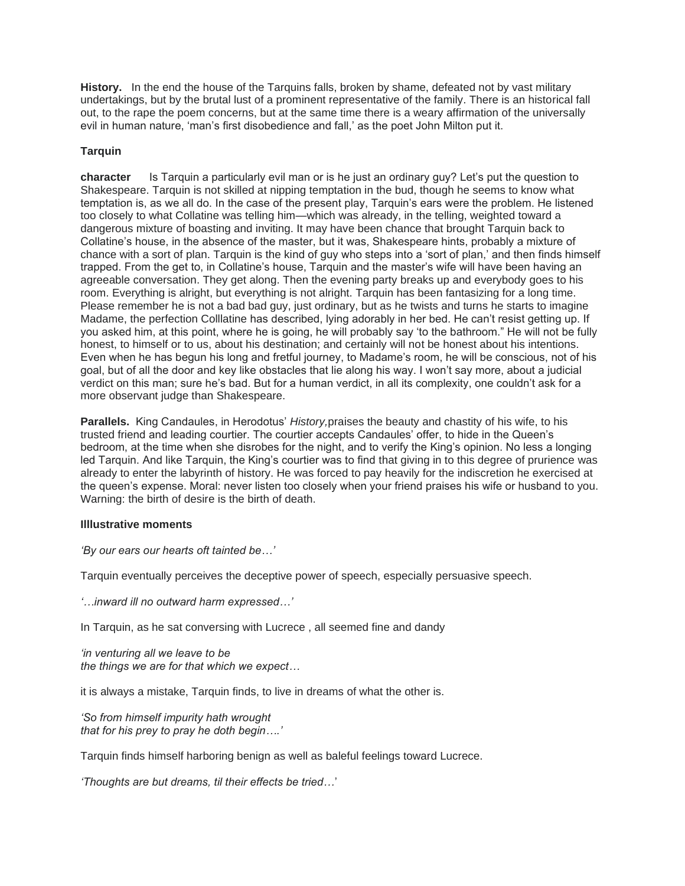**History.** In the end the house of the Tarquins falls, broken by shame, defeated not by vast military undertakings, but by the brutal lust of a prominent representative of the family. There is an historical fall out, to the rape the poem concerns, but at the same time there is a weary affirmation of the universally evil in human nature, 'man's first disobedience and fall,' as the poet John Milton put it.

## **Tarquin**

**character** Is Tarquin a particularly evil man or is he just an ordinary guy? Let's put the question to Shakespeare. Tarquin is not skilled at nipping temptation in the bud, though he seems to know what temptation is, as we all do. In the case of the present play, Tarquin's ears were the problem. He listened too closely to what Collatine was telling him—which was already, in the telling, weighted toward a dangerous mixture of boasting and inviting. It may have been chance that brought Tarquin back to Collatine's house, in the absence of the master, but it was, Shakespeare hints, probably a mixture of chance with a sort of plan. Tarquin is the kind of guy who steps into a 'sort of plan,' and then finds himself trapped. From the get to, in Collatine's house, Tarquin and the master's wife will have been having an agreeable conversation. They get along. Then the evening party breaks up and everybody goes to his room. Everything is alright, but everything is not alright. Tarquin has been fantasizing for a long time. Please remember he is not a bad bad guy, just ordinary, but as he twists and turns he starts to imagine Madame, the perfection Colllatine has described, lying adorably in her bed. He can't resist getting up. If you asked him, at this point, where he is going, he will probably say 'to the bathroom." He will not be fully honest, to himself or to us, about his destination; and certainly will not be honest about his intentions. Even when he has begun his long and fretful journey, to Madame's room, he will be conscious, not of his goal, but of all the door and key like obstacles that lie along his way. I won't say more, about a judicial verdict on this man; sure he's bad. But for a human verdict, in all its complexity, one couldn't ask for a more observant judge than Shakespeare.

**Parallels.** King Candaules, in Herodotus' *History,*praises the beauty and chastity of his wife, to his trusted friend and leading courtier. The courtier accepts Candaules' offer, to hide in the Queen's bedroom, at the time when she disrobes for the night, and to verify the King's opinion. No less a longing led Tarquin. And like Tarquin, the King's courtier was to find that giving in to this degree of prurience was already to enter the labyrinth of history. He was forced to pay heavily for the indiscretion he exercised at the queen's expense. Moral: never listen too closely when your friend praises his wife or husband to you. Warning: the birth of desire is the birth of death.

### **Illlustrative moments**

*'By our ears our hearts oft tainted be…'*

Tarquin eventually perceives the deceptive power of speech, especially persuasive speech.

*'…inward ill no outward harm expressed…'*

In Tarquin, as he sat conversing with Lucrece , all seemed fine and dandy

*'in venturing all we leave to be the things we are for that which we expect…*

it is always a mistake, Tarquin finds, to live in dreams of what the other is.

*'So from himself impurity hath wrought that for his prey to pray he doth begin….'*

Tarquin finds himself harboring benign as well as baleful feelings toward Lucrece.

*'Thoughts are but dreams, til their effects be tried…*'